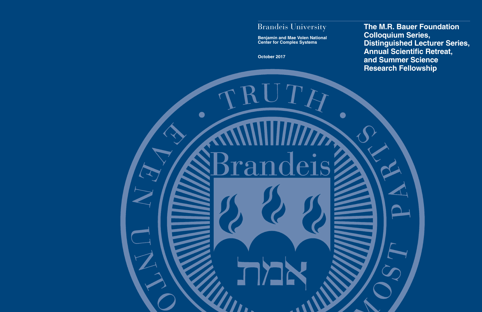# Brandeis University

**Benjamin and Mae Volen National Center for Complex Systems** 

**October 2017** 

 $\mathbf{r} \mathbf{u}$ 

**The M.R. Bauer Foundation Colloquium Series, Distinguished Lecturer Series, Annual Scientific Retreat, and Summer Science Research Fellowship**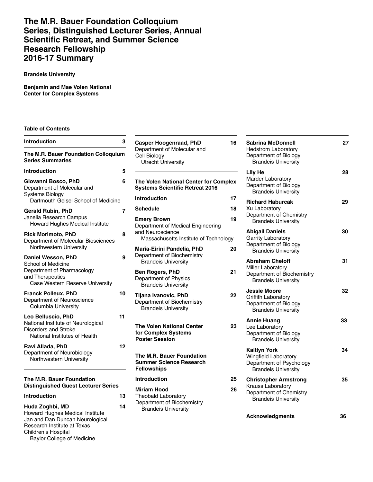## **The M.R. Bauer Foundation Colloquium Series, Distinguished Lecturer Series, Annual Scientifc Retreat, and Summer Science Research Fellowship 2016-17 Summary**

#### **Brandeis University**

**Benjamin and Mae Volen National Center for Complex Systems** 

#### **Table of Contents**

| <b>Introduction</b>                                                                                                                                                              | 3  |
|----------------------------------------------------------------------------------------------------------------------------------------------------------------------------------|----|
| The M.R. Bauer Foundation Colloquium<br><b>Series Summaries</b>                                                                                                                  |    |
| <b>Introduction</b>                                                                                                                                                              | 5  |
| Giovanni Bosco, PhD<br>Department of Molecular and<br><b>Systems Biology</b><br>Dartmouth Geisel School of Medicine                                                              | 6  |
| <b>Gerald Rubin, PhD</b><br>Janelia Research Campus<br>Howard Hughes Medical Institute                                                                                           | 7  |
| <b>Rick Morimoto, PhD</b><br>Department of Molecular Biosciences<br>Northwestern University                                                                                      | 8  |
| Daniel Wesson, PhD<br>School of Medicine<br>Department of Pharmacology<br>and Therapeutics<br>Case Western Reserve University                                                    | 9  |
| <b>Franck Polleux, PhD</b><br>Department of Neuroscience<br><b>Columbia University</b>                                                                                           | 10 |
| Leo Belluscio, PhD<br>National Institute of Neurological<br>Disorders and Stroke<br>National Institutes of Health                                                                | 11 |
| Ravi Allada, PhD<br>Department of Neurobiology<br>Northwestern University                                                                                                        | 12 |
| The M.R. Bauer Foundation<br><b>Distinguished Guest Lecturer Series</b>                                                                                                          |    |
| <b>Introduction</b>                                                                                                                                                              | 13 |
| Huda Zoghbi, MD<br>Howard Hughes Medical Institute<br>Jan and Dan Duncan Neurological<br>Research Institute at Texas<br>Children's Hospital<br><b>Baylor College of Medicine</b> | 14 |

| Introduction                                                                                                             | $\mathbf 3$    | <b>Casper Hoogenraad, PhD</b>                                                     | 16 | <b>Sabrina McDonnell</b>                                                                                     | 27 |
|--------------------------------------------------------------------------------------------------------------------------|----------------|-----------------------------------------------------------------------------------|----|--------------------------------------------------------------------------------------------------------------|----|
| The M.R. Bauer Foundation Colloquium<br><b>Series Summaries</b>                                                          |                | Department of Molecular and<br>Cell Biology<br><b>Utrecht University</b>          |    | <b>Hedstrom Laboratory</b><br>Department of Biology<br><b>Brandeis University</b>                            |    |
| Introduction                                                                                                             | 5              |                                                                                   |    | <b>Lily He</b>                                                                                               | 28 |
| Giovanni Bosco, PhD<br>Department of Molecular and<br><b>Systems Biology</b>                                             | 6              | The Volen National Center for Complex<br><b>Systems Scientific Retreat 2016</b>   |    | Marder Laboratory<br>Department of Biology<br><b>Brandeis University</b>                                     |    |
| Dartmouth Geisel School of Medicine                                                                                      |                | <b>Introduction</b>                                                               | 17 | <b>Richard Haburcak</b>                                                                                      | 29 |
| Gerald Rubin, PhD                                                                                                        | $\overline{7}$ | <b>Schedule</b>                                                                   | 18 | Xu Laboratory                                                                                                |    |
| Janelia Research Campus<br>Howard Hughes Medical Institute                                                               |                | <b>Emery Brown</b><br>Department of Medical Engineering                           | 19 | Department of Chemistry<br><b>Brandeis University</b>                                                        |    |
| <b>Rick Morimoto, PhD</b><br>Department of Molecular Biosciences                                                         | 8              | and Neuroscience<br>Massachusetts Institute of Technology                         |    | <b>Abigail Daniels</b><br><b>Garrity Laboratory</b><br>Department of Biology                                 | 30 |
| Northwestern University                                                                                                  |                | Maria-Eirini Pandelia, PhD                                                        | 20 | <b>Brandeis University</b>                                                                                   |    |
| Daniel Wesson, PhD<br>School of Medicine                                                                                 | 9              | Department of Biochemistry<br><b>Brandeis University</b>                          |    | <b>Abraham Cheloff</b><br><b>Miller Laboratory</b>                                                           | 31 |
| Department of Pharmacology<br>and Therapeutics<br>Case Western Reserve University                                        |                | Ben Rogers, PhD<br>Department of Physics<br><b>Brandeis University</b>            | 21 | Department of Biochemistry<br><b>Brandeis University</b>                                                     |    |
| <b>Franck Polleux, PhD</b><br>Department of Neuroscience<br><b>Columbia University</b>                                   | 10             | Tijana Ivanovic, PhD<br>Department of Biochemistry<br><b>Brandeis University</b>  | 22 | <b>Jessie Moore</b><br><b>Griffith Laboratory</b><br>Department of Biology<br><b>Brandeis University</b>     | 32 |
| Leo Belluscio, PhD<br>National Institute of Neurological<br><b>Disorders and Stroke</b><br>National Institutes of Health | 11             | <b>The Volen National Center</b><br>for Complex Systems<br><b>Poster Session</b>  | 23 | <b>Annie Huang</b><br>Lee Laboratory<br>Department of Biology<br><b>Brandeis University</b>                  | 33 |
| Ravi Allada, PhD<br>Department of Neurobiology<br>Northwestern University                                                | 12             | The M.R. Bauer Foundation<br><b>Summer Science Research</b><br><b>Fellowships</b> |    | <b>Kaitlyn York</b><br><b>Wingfield Laboratory</b><br>Department of Psychology<br><b>Brandeis University</b> | 34 |
| The M.R. Bauer Foundation                                                                                                |                | <b>Introduction</b>                                                               | 25 | <b>Christopher Armstrong</b>                                                                                 | 35 |
| <b>Distinguished Guest Lecturer Series</b>                                                                               |                | <b>Miriam Hood</b>                                                                | 26 | <b>Krauss Laboratory</b><br>Department of Chemistry                                                          |    |
| Introduction                                                                                                             | 13             | <b>Theobald Laboratory</b>                                                        |    | <b>Brandeis University</b>                                                                                   |    |
| Huda Zoghbi, MD<br>Howard Hughes Medical Institute                                                                       | 14             | Department of Biochemistry<br><b>Brandeis University</b>                          |    | Acknowledamente                                                                                              | 36 |

|                | ישטויו שוווע<br><b>Hedstrom Laboratory</b><br>Department of Biology<br><b>Brandeis University</b>                 |    |
|----------------|-------------------------------------------------------------------------------------------------------------------|----|
| ex             | <b>Lily He</b><br>Marder Laboratory<br>Department of Biology<br><b>Brandeis University</b>                        | 28 |
| 17<br>18<br>19 | <b>Richard Haburcak</b><br>Xu Laboratory<br>Department of Chemistry<br><b>Brandeis University</b>                 | 29 |
| y<br>20        | <b>Abigail Daniels</b><br>Garrity Laboratory<br>Department of Biology<br><b>Brandeis University</b>               | 30 |
| 21             | <b>Abraham Cheloff</b><br>Miller Laboratory<br>Department of Biochemistry<br><b>Brandeis University</b>           | 31 |
| 22             | <b>Jessie Moore</b><br>Griffith Laboratory<br>Department of Biology<br><b>Brandeis University</b>                 | 32 |
| 23             | <b>Annie Huang</b><br>Lee Laboratory<br>Department of Biology<br><b>Brandeis University</b>                       | 33 |
|                | <b>Kaitlyn York</b><br><b>Wingfield Laboratory</b><br>Department of Psychology<br><b>Brandeis University</b>      | 34 |
| 25<br>26       | <b>Christopher Armstrong</b><br><b>Krauss Laboratory</b><br>Department of Chemistry<br><b>Brandeis University</b> | 35 |
|                |                                                                                                                   |    |

**Acknowledgments 36**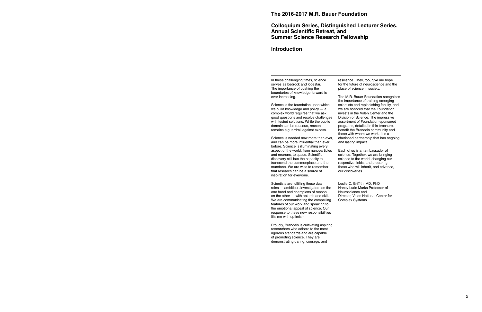## **Colloquium Series, Distinguished Lecturer Series, Annual Scientific Retreat, and Summer Science Research Fellowship**

### **Introduction**

The importance of pushing the boundaries of knowledge forward is<br>ever increasing.

Science is the foundation upon which scientists and replenishing faculty, and we build knowledge and policy  $-$  a we are honored that the Foundation we build knowledge and policy  $-$  a we are honored that the Foundation complex world requires that we ask invests in the Volen Center and the complex world requires that we ask invests in the Volen Center and the good questions and resolve challenges Division of Science. The impressive good questions and resolve challenges Division of Science. The impressive with tested solutions. While the public assortment of Foundation-sponsored with tested solutions. While the public domain can be raucous, reason remains a guardrail against excess.

Science is needed now more than ever, cherished partnership and can be more influential than ever and lasting impact. and can be more influential than ever before. Science is illuminating every aspect of the world, from nanoparticles Each of us is an ambassador of and neurons, to space. Scientific science. Together, we are bringing<br>discovery still has the capacity to science to the world, changing our transcend the commonplace and the<br>mundane. We are wise to remember that research can be a source of inspiration for everyone.

Scientists are fulfilling these dual Leslie C. Griffith, MD, PhD<br>roles — ambitious investigators on the Nancy Lurie Marks Professor of roles — ambitious investigators on the Nancy Lurie Marks<br>one hand and champions of reason Neuroscience and one hand and champions of reason<br>
on the other — with aplomb and skill. 
Director, Volen National Center for on the other — with aplomb and skill. Director, Volen National We are communicating the compelling Complex Systems We are communicating the compelling features of our work and speaking to the emotional appeal of science. Our response to these new responsibilities fills me with optimism.

Proudly, Brandeis is cultivating aspiring researchers who adhere to the most rigorous standards and are capable of promoting science. They are demonstrating daring, courage, and

In these challenging times, science resilience. They, too, give me hope<br>serves as bedrock and lodestar. for the future of neuroscience and the for the future of neuroscience and the place of science in society.

The M.R. Bauer Foundation recognizes the importance of training emerging programs, detailed in this brochure,<br>benefit the Brandeis community and those with whom we work. It is a<br>cherished partnership that has ongoing

science to the world, changing our<br>respective fields, and preparing those who will inherit, and advance, our discoveries.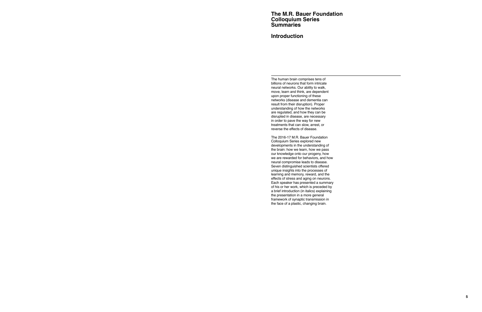## **The M.R. Bauer Foundation Colloquium Series Summaries**

## **Introduction**

The human brain comprises tens of billions of neurons that form intricate neural networks. Our ability to walk, move, learn and think, are dependent upon proper functioning of these networks (disease and dementia can result from their disruption). Proper understanding of how the networks are regulated, and how they can be disrupted in disease, are necessary in order to pave the way for new treatments that can slow, arrest, or reverse the effects of disease.

The 2016-17 M.R. Bauer Foundation Colloquium Series explored new developments in the understanding of the brain: how we learn, how we pass our knowledge onto our progeny, how we are rewarded for behaviors, and how neural compromise leads to disease. Seven distinguished scientists offered unique insights into the processes of learning and memory, reward, and the effects of stress and aging on neurons. Each speaker has presented a summary of his or her work, which is preceded by a brief introduction (in italics) explaining the presentation in a more general framework of synaptic transmission in the face of a plastic, changing brain.

**5**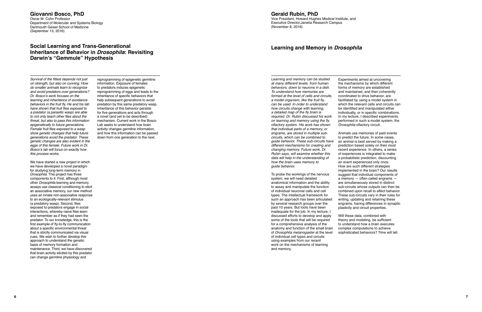#### **Giovanni Bosco, PhD**  Oscar M. Cohn Professor Department of Molecular and Systems Biology Dartmouth Geisel School of Medicine (September 13, 2016)

## **Social Learning and Trans-Generational Inheritance of Behavior in** *Drosophila***: Revisiting Darwin's "Gemmule" Hypothesis**

Survival of the fittest depends not just reprogramming of epigenetic germline<br>on strenath, but also on cunning. How information. Exposure of females on strength, but also on cunning. How information. Exposure of females<br>do smaller animals learn to recognize to predators induces epigenetic do smaller animals learn to recognize<br>and avoid predators over generations? Dr. Bosco's work focuses on the inheritance of specific behaviors that learning and inheritance of avoidance help subsequent generations to avoid learning and inheritance of avoidance help subsequent generations to avoid<br>behaviors in the fruit fly. He and his lab predation by this same predatory was have shown that fruit flies exposed to Inheritance of this behavior persists<br>a predator (a parasitic wasp) are able for five generations and acts through a predator (a parasitic wasp) are able for five generations and acts through to not only teach other flies about the a novel (and vet to be described) to not only teach other flies about the threat, but also to pass this information threat, but also to pass this information mechanism. Current work in the Bosco<br>epigenetically to future generations. Lab seeks to understand how brain epigenetically to future generations. Lab seeks to understand how brain<br>Female fruit flies exposed to a wasp exactivity changes germline information Female fruit flies exposed to a wasp activity changes germline information, show genetic changes that help future and how this information can be passe show genetic changes that help future and how this information can be passed<br>
down from one generation to the next. genetic changes are also evident in the eggs of this female. Future work in Dr. Bosco's lab will focus on exactly how this process works.

We have started a new project in which we have developed a novel paradigm for studying long-term memory in Drosophila. This project has three components to it: First, although most other Drosophila learning and memory assays use classical conditioning to elicit an associative memory, our new method uses an innate non-associative response to an ecologically-relevant stimulus (a predatory wasp). Second, flies exposed to predators engage in social interactions, whereby naive flies learn and remember as if they had seen the predator. To our knowledge, this is the first example of fly-to-fly communication about a specific environmental threat that is strictly communicated via visual cues. We wish to further develop this approach to understand the genetic basis of memory formation and maintenance. Third, we have discovered that brain activity elicited by this predator can change germline physiology and

and avoid predators over generations? reprogramming of eggs and leads to the Dr. Bosco's work focuses on the inheritance of specific behaviors that predation by this same predatory wasp.<br>Inheritance of this behavior persists down from one generation to the next.

## **Gerald Rubin, PhD**

Vice President, Howard Hughes Medical Institute, and Executive Director,Janelia Research Campus (November 8, 2016)

## **Learning and Memory in** *Drosophila*

Learning and memory can be studied at many different levels, from human behaviors, down to neurons in a dish. To understand how memories are formed at the level of cells and circuits, a model organism, like the fruit fly, can be used. In order to understand how circuits change with learning, a detailed map of the fly brain is required. Dr. Rubin discussed his work on learning and memory using the fly olfactory system. His work has shown that individual parts of a memory, or engrams, are stored in multiple subcircuits, which can be combined to guide behavior. These sub-circuits have different mechanisms for creating and changing memory. Future work, Dr. Rubin says, will examine whether this data will help in the understanding of how the brain uses memory to guide behavior.

To probe the workings of the nervous system, we will need detailed anatomical information and the ability to assay and manipulate the function of individual neuronal cells and cell types. The intellectual framework for such an approach has been articulated by several research groups over the past 10 years. But tools have been inadequate for the job. In my lecture, I discussed efforts to develop and apply some of the tools that will be required for a comprehensive analysis of the anatomy and function of the small brain of Drosophila melanogaster at the level of individual cell types and circuits using examples from our recent work on the mechanisms of learning and memory.

Experiments aimed at uncovering the mechanisms by which different forms of memory are established and maintained, and then coherently coordinated to drive behavior, are facilitated by using a model system in which the relevant cells and circuits can be identified and manipulated either individually, or in specific combinations. In my lecture, I described experiments performed in such a model system, the Drosophila olfactory circuit.

Animals use memories of past events to predict the future. In some cases, an animal is best served by making a prediction based solely on their most recent experience. In others, a series of experiences is integrated to make a probabilistic prediction, discounting an event experienced only once. How are such different strategies implemented in the brain? Our results suggest that individual components of a memory — often called engrams are simultaneously stored in distinct sub-circuits whose outputs can then be combined upon recall to affect behavior. These sub-circuits vary in their rules for writing, updating and retaining these engrams, having differences in synaptic plasticity and circuit properties.

Will these data, combined with theory and modeling, be sufficient to understand how a brain executes complex computations to achieve sophisticated behaviors? Time will tell.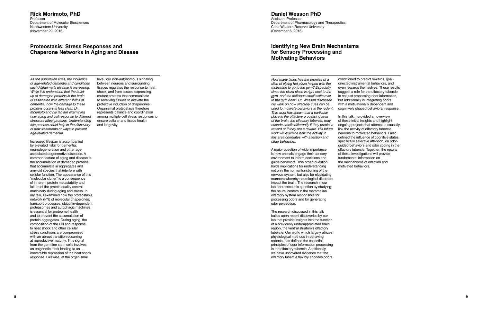#### **Rick Morimoto, PhD Professor** Department of Molecular Biosciences Northwestern University (November 29, 2016)

## **Proteostasis: Stress Responses and Chaperone Networks in Aging and Disease**

As the population ages, the incidence of age-related dementia and conditions such Alzheimer's disease is increasing. While it is understood that the buildup of damaged proteins in the brain is associated with different forms of dementia, how the damage to these proteins occurs is less clear. Dr. Morimoto and his lab are examining how aging and cell response to different stressors affect proteins. Understanding this process could help in the discovery of new treatments or ways to prevent age-related dementia.

Increased lifespan is accompanied by elevated risks for dementia, neurodegeneration and other ageassociated degenerative diseases. A common feature of aging and disease is the accumulation of damaged proteins that accumulate in aggregates and amyloid species that interfere with cellular function. The appearance of this "molecular clutter" is a consequence of inherent protein metastability and failure of the protein quality control machinery during aging and stress. In my talk, I examined how the proteostasis network (PN) of molecular chaperones, transport processes, ubiquitin-dependent proteasomes and autophagic machines is essential for proteome health and to prevent the accumulation of protein aggregates. During aging, the composition of the PN and response to heat shock and other cellular stress conditions are compromised with an abrupt transition occurring at reproductive maturity. This signal from the germline stem cells involves an epigenetic mark leading to an irreversible repression of the heat shock response. Likewise, at the organismal

level, cell non-autonomous signaling between neurons and surrounding tissues regulates the response to heat shock, and from tissues expressing mutant proteins that communicate to receiving tissues to activate the protective induction of chaperones. Organismal proteostasis therefore represents balance and coordination among multiple cell stress responses to ensure cellular and tissue health and longevity.

## **Daniel Wesson PhD**

Assistant Professor Department of Pharmacology and Therapeutics Case Western Reserve University (December 6, 2016)

## **Identifying New Brain Mechanisms for Sensory Processing and Motivating Behaviors**

How many times has the promise of a slice of piping hot pizza helped with the motivation to go to the gym? Especially since the pizza place is right next to the gym, and the delicious smell wafts over to the gym door? Dr. Wesson discussed his work on how olfactory cues can be used to motivate behaviors in the rodent. This work has shown that a particular place in the olfactory processing area of the brain, the olfactory tubercle, may encode smells differently if they predict a reward or if they are a reward. His future work will examine how the activity in this area correlates with attention and other behaviors.

A major question of wide importance is how animals engage their sensory environment to inform decisions and guide behaviors. This broad question holds implications for understanding not only the normal functioning of the nervous system, but also for elucidating manners whereby neurological disorders impact the brain. The research in our lab addresses this question by studying the neural centers in the mammalian olfactory system responsible for processing odors and for generating odor perception.

The research discussed in this talk builds upon recent discoveries by our lab that provide insights into the function of a previously underappreciated brain region, the ventral striatum's olfactory tubercle. Our work, which largely utilizes physiological methods in behaving rodents, has defined the essential principles of odor information processing in the olfactory tubercle. Additionally, we have uncovered evidence that the olfactory tubercle flexibly encodes odors

conditioned to predict rewards, goaldirected instrumental behaviors, and even rewards themselves. These results suggest a role for the olfactory tubercle in not just processing odor information, but additionally in integrating odors with a motivationally dependent and cognitively shaped behavioral response.

In this talk, I provided an overview of these initial insights and highlight ongoing projects that attempt to causally link the activity of olfactory tubercle neurons to motivated behaviors. I also defined the influence of cognitive states. specifically selective attention, on odorguided behaviors and odor coding in the olfactory tubercle. Together, the results of these investigations will provide fundamental information on the mechanisms of olfaction and motivated behaviors.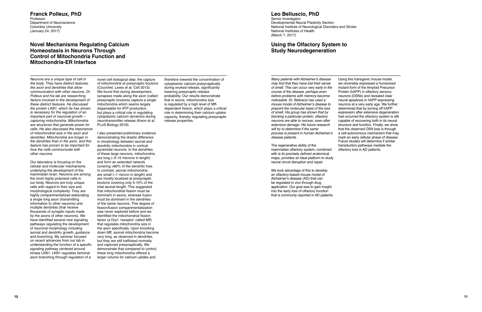#### **Franck Polleux, PhD**  Professor Department of Neuroscience Columbia University (January 24, 2017)

## **Novel Mechanisms Regulating Calcium Homeostasis in Neurons Through Control of Mitochondria Function and Mitochondria-ER Interface**

Neurons are a unique type of cell in the body. They have distinct features, the axon and dendrites that allow communication with other neurons. Dr Polleux and his lab are researching factors involved in the development of these distinct features. He discussed the protein LKB1, which he has shown is necessary for the regulation of an  $im$  portant part of neuronal growth  $$ capturing mitochondria. Mitochondria are structures that generate power for cells. He also discussed the importanc e of mitochondrial size in the axon and dendrites. Mitochondria are longer in the dendrites than in the axon, and this feature has proven to be important for how the cells communicate with other neurons.

Our laboratory is focusing on the cellular and molecular mechanisms underlying the development of the mammalian brain. Neurons are among the most highly polarized cells in our body. Neurons are truly unique cells with regard to their size and morphological complexity. They are highly compartmentalized elaborating a single long axon (transmitting information to other neurons) and multiple dendrites (that receive thousands of synaptic inputs made by the axons of other neurons). We have identified several new signaling pathways regulating the development of neuronal morphology including axonal and dendritic growth, guidance and branching. My seminar focused on recent advances from our lab in understanding the function of a specifi signaling pathway centered around kinase LKB1. LKB1 regulates terminal axon branching through regulation of a

cytoplasmic calcium presynaptically during evoked release, significantly lowering presynaptic release probability. Our results demonstrate that in axons, mitochondria size is regulated by a high level of Mffdependent fission, which plays a critical role in determining their calcium uptake capacity, thereby regulating presynaptic release properties.

novel cell biological step: the capture therefore lowered the concentration of of mitochondria at presynaptic boutons (Courchet, Lewis et al. Cell 2013). We found that during development. synapses made along the axon (called presynaptic boutons) capture a single mitochondria which seems largely dispensable for ATP production, but plays a critical role in regulating cytoplasmic calcium dynamics during neurotransmitter release (Kwon et al. PLoS Biology 2016).

I also presented preliminary evidence demonstrating the drastic difference in morphology between axonal and dendritic mitochondria in cortical pyramidal neurons. In the dendrites of these large neurons, mitochondria are long (~5-15 microns in length) and form an extended network covering >80% of the dendritic tree. In contrast, axonal mitochondria are small (~1 micron in length) and are mostly localized at presynaptic boutons covering only 5-10% of the total axonal length. This suggested that mitochondrial fission must be dominant in axons, whereas fusion must be dominant in the dendrites of the same neurons. This degree of fission/fusion compartmentalization was never explored before and we identified the mitochondrial fission factor (a Drp1 'receptor' called Mff) that regulates mitochondria size in the axon specifically. Upon knocking down Mff, axonal mitochondria become very long, as observed in dendrites, but they are still trafficked normally and captured presynaptically. We demonstrate that compared to control, these long mitochondria offered a larger volume for calcium uptake and

## **Leo Belluscio, PhD**

Senior Investigator Developmental Neural Plasticity Section National Institute of Neurological Disorders and Stroke National Institutes of Health (March 7, 2017)

## **Using the Olfactory System to Study Neurodegeneration**

Many patients with Alzheimer's disease may find that they have lost their sense of smell. This can occur very early in the course of the disease, perhaps even before problems with memory become noticeable. Dr. Belluscio has used a mouse model of Alzheimer's disease to pinpoint the molecular basis of the loss of smell. His group has shown that by blocking a particular protein, olfactory neurons are able to recover, even after extensive damage. His future research will try to determine if the same process is present in human Alzheimer's disease patients.

The regenerative ability of the mammalian olfactory system, combined with is its precisely defined anatomical maps, provides an ideal platform to study neural circuit disruption and repair.

We took advantage of this to develop an olfactory-based mouse model of Alzheimer's disease (AD) that can be regulated in vivo through drug application. Our goal was to gain insight into the early loss of olfactory function that is commonly reported in AD patients.

Using this transgenic mouse model, we reversibly expressed a humanized mutant form of the Amyloid Precursor Protein (hAPP) in olfactory sensory neurons (OSNs) and revealed clear neural apoptosis in hAPP expressing neurons at a very early age. We further determined that by turning off hAPP expression after extensive degeneration had occurred the olfactory system is still capable of recovering both in its neural structure and function. Finally, we show that the observed OSN loss is through a cell-autonomous mechanism that may mark an early cellular phase of disease. Future studies will determine if similar transduction pathways mediate the olfactory loss in AD patients.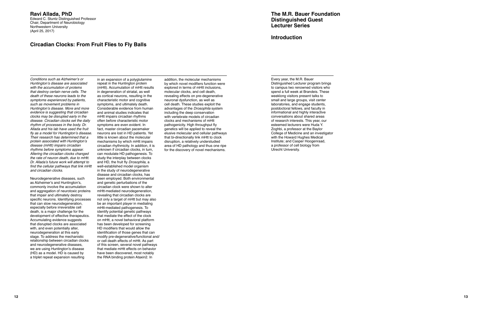## **Ravi Allada, PhD**

Edward C. Stuntz Distinguished Professor Chair, Department of Neurobiology Northwestern University (April 25, 2017)

## **Circadian Clocks: From Fruit Flies to Fly Balls**

Conditions such as Alzheimer's or Huntington's disease are associated with the accumulation of proteins that destroy certain nerve cells. The death of these neurons leads to the symptoms experienced by patients, such as movement problems in Huntington's disease. More and more evidence is suggesting that circadian clocks may be disrupted early in the disease. Circadian clocks set the daily rhythm of processes in the body. Dr. Allada and his lab have used the fruit fly as a model for Huntington's disease. Their research has determined that a protein associated with Huntington's disease (mHtt) impairs circadian rhythms before symptoms appear. Altering the circadian clocks changed the rate of neuron death, due to mHtt. Dr. Allada's future work will attempt to find the cellular pathways that link mHtt and circadian clocks.

Neurodegenerative diseases, such as Alzheimer's and Huntington's, commonly involve the accumulation and aggregation of neurotoxic proteins that impair and ultimately destroy specific neurons. Identifying processes that can slow neurodegeneration, especially before irreversible cell death, is a major challenge for the development of effective therapeutics. Accumulating evidence suggests that disrupted clocks are associated with, and even potentially alter, neurodegeneration at this early stage. To address the mechanistic relationship between circadian clocks and neurodegenerative diseases, we are using Huntington's disease (HD) as a model. HD is caused by a triplet repeat expansion resulting

in an expansion of a polyglutamine repeat in the Huntington protein (mHtt). Accumulation of mHtt results in degeneration of striatal, as well as cortical neurons, resulting in the characteristic motor and cognitive symptoms, and ultimately death. Considerable evidence from human and animal studies indicates that mHtt impairs circadian rhythms often before characteristic motor symptoms are even evident. In fact, master circadian pacemaker neurons are lost in HD patients. Yet little is known about the molecular mechanisms by which mHtt impairs circadian rhythmicity. In addition, it is unknown if circadian clocks, in turn, can modulate HD pathogenesis. To study the interplay between clocks and HD, the fruit fly Drosophila, a well-established model organism in the study of neurodegenerative disease and circadian clocks, has been employed. Both environmental and genetic perturbations of the circadian clock were shown to alter mHtt-mediated neurodegeneration, revealing that circadian clocks are not only a target of mHtt but may also be an important player in mediating mHtt-mediated pathogenesis. To identify potential genetic pathways that mediate the effect of the clock on mHtt, a novel behavioral platform has been developed for screening HD modifiers that would allow the identification of those genes that can modify pre-degenerative/functional and/ or cell death effects of mHtt. As part of this screen, several novel pathways that mediate mHtt effects on behavior have been discovered, most notably the RNA binding protein Ataxin2. In

addition, the molecular mechanisms by which novel modifiers function were explored in terms of mHtt inclusions, molecular clocks, and cell death, revealing effects on pre-degenerative neuronal dysfunction, as well as cell death. These studies exploit the advantages of the Drosophila system including the deep conservation with vertebrate models of circadian clocks and mechanisms of mHtt pathogenicity. High throughput fly genetics will be applied to reveal the elusive molecular and cellular pathways that bi-directionally link mHtt to clock disruption, a relatively understudied area of HD pathology and thus one ripe for the discovery of novel mechanisms.

**The M.R. Bauer Foundation Distinguished Guest Lecturer Series** 

## **Introduction**

Every year, the M.R. Bauer Distinguished Lecturer program brings to campus two renowned visitors who spend a full week at Brandeis. These weeklong visitors present talks to small and large groups, visit center laboratories, and engage students, postdoctoral fellows, and faculty in informational and highly interactive conversations about shared areas of research interests. This year, our esteemed lecturers were Huda Y. Zoghbi, a professor at the Baylor College of Medicine and an investigator with the Howard Hughes Medical Institute; and Casper Hoogenraad, a professor of cell biology from Utrecht University.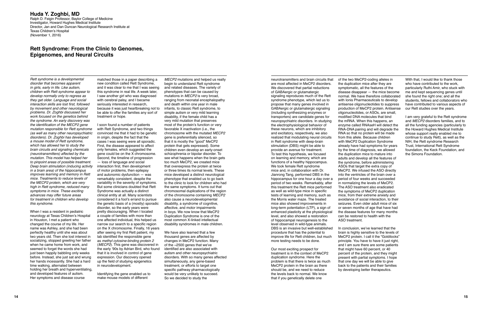#### **Huda Y. Zoghbi, MD**  Ralph D. Feigin Professor, Baylor College of Medicine Investigator, Howard Hughes Medical Institute Director, Jan and Dan Duncan Neurological Research Institute at Texas Children's Hospital (November 1, 2016)

## **Rett Syndrome: From the Clinic to Genomes, Epigenomes, and Neural Circuits**

Rett syndrome is a developmental matched those in a paper describing a MECP2 mutations and helped us really neurotransmitters and brain circuits that of the two MeCP2-coding alleles in With that, I would like to thank thos

and developed features of autism. Intertifying the gene enabled us to would be very unlikely to succeed.<br>Her symptoms and disease course make mouse models of different So we decided to study the succeed. That if you geneti

changed the course of my life. Her anarrow our search to a specific region disability syndromes in male children.<br>name was Ashley, and she had been on the X chromosome. Finally, 16 years name was Ashley, and she had been on the X chromosome. Finally, 16 years vertext we have also learned that a few<br>perfectly healthy until she was about after seeing my first Rett patient, my We have also learned that a few

disorder that becomes apparent and the condition called Rett Syndrome, begin to understand Rett syndrome are most affected in MeCP2 disorders. the duplication mice after they are in girls, early in life. Like autism, and i in girls, early in life. Like autism, and it was clear to me that I was seeing and related diseases. The variety of the We discovered that partial reductions symptomatic, all the features of the particularly Ruthi Amir, wh children with Rett syndrome appear to this syndrome in real life. A week later, phenotypes that can be caused by of GABAergic or glutamatergic disease disappear — the mice become me and kept sequencing genes until develop develop normally only to regress as I saw another girl who was diagnosed mutations in MECP2 is very broad, signaling reproduces much of the Rett normal. We have therefore collaborated she found the right one; and all the t they get older. Language and social with cerebral palsy, and I became ranging from neonatal encephalopathy syndrome phenotype, which led us to with Ionis Pharmaceuticals to develop students, fellows and collaborators who i interaction skills are lost first, followed seriously interested in research, and death within one year in male<br>by movement and other neurological because it was just heartbreaking not to infants, to classic Rett syndrome, by movement and other neurological because it was just heartbreaking not to infants, to classic Rett syndrome, to GABAergic or glutamatergic signaling production of MeCP2 protein. Antisense problems. Dr. Zoghbi discussed h problems. Dr. Zoghbi discussed her be able to offer the families any sort of simple autism or very mild learning (including synthesizing enzymes or oligonucleotides, or ASOs, are small, or work focused on the genetics behi work focused on the genetics behind treatment or hope. <br>the syndrome. An early discovery was transport on the syndrome of the syndrome of the syndrome of the syndrome<br>the syndrome. An early discovery was and to the Rett sy the syndrome. An early discovery was **very heat of the syndrome.** An early discovery was very mild mutation that preserves very mild mutation that preserves the electrophysiological behavior of the mRNA. When this happens, the identification of the MECP2 gene I soon found a number of patients most of the protein's function or very<br>mutation responsible for Rett syndrome with Rett Syndrome, and two things favorable X inactivation (i.e., the me mutation responsible for Rett syndrome with Rett Syndrome, and two things favorable X inactivation (i.e., the these neurons, which are inhibitory RNA-DNA pairing and will degrade the the Howard Hughes Medical Institute (as (as well as many other neuropsychiatric convinced me that it had to be genetic chromosome with the mutated MECP2 and excitatory, respectively, we also RNA so that no protein will be made whose support really enabled me to disorders). Dr. Zoghbi has developed in origin, despite the fact that the gene is preferentially silenced, so can realized that modulating neural circuits from this allele. Because children continue to study Rett), as well a mouse model of Rett syndrome, cases I was seeing were all sporadic. that it is mostly the "good" MeCP2 in Rett syndrome with deep-brain with MeCP2 Duplication Syndrome NIH, the Rett syndrome Research which has allowed he which has allowed her to study the First, the disease appeared to affect protein that gets expressed). Some stimulation (DBS) might be able to already have had symptoms for years by the time of diagnosis, we allowed by the brain circuits and signaling chemicals only females, which suggested the children even develop an early-onset provide an avenue for treatment. by the time of diagnosis, we allowed foundation, the Keck Foundation, and (neur (neurotransmitters) affected by the gene could be on the X chromosome. schizophrenia or bipolar disorder. To sachizophrenia or the Simon and the stat this hypothesis, we focused the duplication mice to mature into mature i mutation. This model has helped her Second, the timeline of progression see what happens when the brain gets on learning and memory, which are adults are advertised to pinpoint areas of possible treatment.  $-$  loss of lang to much MeCP2, we created mice the statement of a healthy hippocampus. The syndrome, before administering interaction first, then development that overexpress the protein at twice interaction first, then development that o Deep brain stimulation (inducing activity interaction first, then development that overexpress the protein at twice We took female Rett syndrome in a brain area) of the hippocampus of motor problems, then epilepsy or three in a brain area) of the hippocampus of motor problems, then epilepsy or three times its normal levels. These mice and, in collaboration with Dr. MeCP2. We infused the ASO directly in proves learning and memory in Rett and improves learning and memory in Rett and autonomic dysfunction — was mice developed a distinct neurological in the structure of the ventricles of the brain over a memory in Rett and autonomic dysfunction — was mice develop mice. Treatments to reduce levels of remarkably consistent, despite the phenotype that enabled us to go back hippocampus for one hour a day over a period of four weeks and succeeded the the chiparate the mormalizing the le the MECP2 protein, which are very variability in the severity of symptoms. to the clinic to look for children who had period of two weeks. Remarkably, after in normalizing the levels of MeCP2.<br>high in Rett syndrome, reduce high in Rett syndrome, reduced many But some clinicians doubted that Rett the same symptoms. It turns out that that the same symptoms of the reqion symptoms in mice. The ASO treatment also eradicated symptoms of the reqion symptoms in mice. These exciting Syndrome was actually a distinct chromosomal duplications of the region as well as wild-type mice in specific the symptoms of MeCP2 duplication advances may offer future areas clinical enti advances may offer future areas clinical entity at all. Many scientists of the chromosome containing MECP2 tests of learning and memory, such as for treated tests of learning and memory, such as for treated for treme any t for treatment in children who develop considered it a fool's errand to pursue also cause a neurodevelopmental the Morris water maze. The treated avoidance of social interaction, to their<br>this syndrome. The seizures. Even o the genetic basis of a (mostly) sporadic disability, a syndrome of cognitive, exercise the syndrome of cognitive, the syndrome of cognitive, mice also showed improvements in seizures. Even older adult mice of six disorder, disorder, so the early years were affective, and motor impairments and the changes of the state of the early years were affective, and motor impairments and the displayer of the disease features for many months of age that When I was a resident in pediatric entity discouraging. When I located in boys. We now know that MeCP2 enhanced plasticity at the physiological the disease features for many more neurology at Texas Children's Hospital a co neurology at Texas Children's Hospital a couple of families with more than Duplication Syndrome is one of the level, and also showed a restoration can be restored individual, this helped us most common X-linked intellectua in Houston, I met a patient who one affected individual, this helped us most common X-linked intellectual on the<br>
changed the course of my life. Her animals, changed the course of my life. Here animals changed the course o

perfectly healthy until she was about after seeing my first Rett patient, my We have also learned that a few procedure that has the potential to brain is highly sensitive to the levels of<br>two years old. Then she lost inter Iab identified the responsible gene thousand genes are affected by improve life for Rett children, but much MeCP2 protein. I call it the "Goldilocks" as methyl cytosine-binding protein 2 changes in MeCP2 function. Many and socializing, stopped greeting her father as methyl cytosine-binding protein 2 changes in MeCP2 function. Many more testing needs to be done. principle. You have to have it just right, when he came home from work, and (MECP when he came home from work, and (*MECP2*). This gene was discovered in of the ~2500 genes that we've and in the same patients of the section of the we've and I am sure there are some patients seemed to forget the words sh seemed to forget the words she had the early '90s by Adrian Bird, who found identified are also associated with Our most exciting prospect for<br>just been happily babbling only weeks that it is involved in control of gene au just been happily babbling only weeks that it is involved in control of gene autism and other neuropsychiatric treatment is in the context of MeCP2 percent of the protein, and they might before. Instead, she just sat and w before. Instead, she just sat and wrung expression. Our discovery opened disorders. With so many genes affected duplication syndrome. Here the present with partial symptoms. I hope here the present with partial symptoms. I her hands incessantly. She had a hard up the field of studying epigenetics simultaneously, any gene-based problem is that there is twice as much time walking, alternated between in neurodevelopment. the totarget one to giv time walking, alternated between in neurodevelopment. the treatment, or efforts to target one one one one of MeCP2 protein in the brain as there back to the patients and their families holding her breath and hyperventilati holding her breath and hyperventilating, bolding her district at the gene enabled us to specific pathway pharmacologically should be and we need to reduce and developed features of autism. Indentifying the gene enabled us

that if you genetically delete one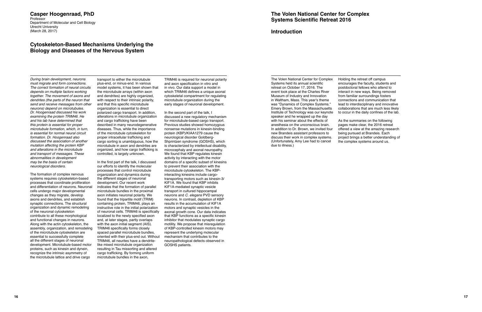#### **Casper Hoogenraad, PhD**  Professor

Department of Molecular and Cell Biology Utrecht University (March 28, 2017)

## **Cytoskeleton-Based Mechanisms Underlying the Biology and Diseases of the Nervous System**

send and receive messages from other and that this specific microtubule neurons) depend on microtubules. organization is essential to direct neurons) depend on microtubules. organization is essential to direct<br>Dr. Hoogenraad discussed his work openized cargo transport. In addition. examining the protein TRIM46. He alterations in microtubule organization<br>and his lab have determined that and cargo trafficking have been this protein is essential for proper described in many neurodegenerative<br>microtubule formation, which, in turn. diseases. Thus, while the importance and transport of messages. These controlled, is largely unknown. We found that KBP regulates kinesin<br>abnormalities in development abnormalities in development abnormalities in development<br>In the first part of the talk, I discussed activity by interacting with the motor<br>In the first part of the talk, I discussed domains of a specific subset of kines

The formation of complex nervous organization and dynamics during cells undergo major developmental microtubule bundles in the proximal changes as they migrate, develop axon initiates neuronal polarity. We proteins, such as kinesin and dynein, recognize the intrinsic asymmetry of the microtubule lattice and drive cargo

must migrate and form connections. plus-end, or minus-end. In various and axon specification in vitro and<br>The correct formation of neural circuits model systems, it has been shown that in vivo. Our data support a model in The correct formation of neural circuits model systems, it has been shown that depends on multiple factors working the microtubule arrays (within axon depends on multiple factors working the microtubule arrays (within axon which TRIM46 defines a unique axonal<br>together. The movement of axons and and dendrites) are highly organized, cytoskeletal compartment for regulating and dendrites) are highly organized, cytoskeletal compartment for regulating with respect to their intrinsic polarity, microtubule organization during the dendrites (the parts of the neuron that with respect to their intrinsic polarity, microtubule organization during the send and receive messages from other and that this specific microtubule early stages of neuronal develop Dr. Hoogenraad discussed his work polarized cargo transport. In addition, In the second part of the talk, I examining the protein TRIM46. He alterations in microtubule organization discussed a new regulatory mechanism and his lab have determined that and cargo trafficking have been for microtubule-based cargo transport.<br>
this protein is essential for proper described in many neurodegenerative Previous studies showed homozygous diseases. Thus, while the importance nonsense mutations in kinesin-binding<br>of the microtubule cytoskeleton for protein (KBP)/KIAA1279 cause the is essential for normal neural circuit of the microtubule cytoskeleton for protein (KBP)/KIAA1279 cause the microtubule cytoskeleton for protein (KBP)/KIAA1279 cause the microtubule cytoskeleton for protein (KBP)/KIAA1279 formation. Dr. Hoogenraad also proper intracellular trafficking and neurological disorder Goldberg-<br>discussed the association of another cargo sorting is unambiguous, how the Shorintzen syndrome (GOSHS), which discussed the association of another cargo sorting is unambiguous, how the mutation affecting the protein KBP microtubule in axon and dendrites are mutation affecting the protein KBP microtubule in axon and dendrites are is characterized by intellectual disability,<br>and alterations in the microtubule organized, and how cargo trafficking is microcephaly and axonal neuro and alterations in the microtubule organized, and how cargo trafficking is and transport of messages. These controlled, is largely unknown.

processes that control microtubule microtubule cytoskeleton. The KBP-<br>organization and dynamics during interacting kinesins include cargosystems requires cytoskeleton-based the different stages of neuronal transporting motors such as kinesin-3/<br>processes that coordinate proliferation development. Our recent work KIF1A. We found that KBP inhibits processes that coordinate proliferation development. Our recent work KIF1A. We found that KBP inhibits<br>and differentiation of neurons. Neuronal indicates that the formation of parallel KIF1A-mediated synaptic vesicle and differentiation of neurons. Neuronal indicates that the formation of parallel KIF1A-mediated synaptic vesicle<br>cells undergo major developmental microtubule bundles in the proximal transport in cultured hippocampal changes as they migrate, develop axon initiates neuronal polarity. We meurons and C. elegans PVD sensory<br>axons and dendrites, and establish found that the tripartite motif (TRIM) neurons. In contrast, depletion of KBP axons and dendrites, and establish found that the tripartite motif (TRIM) neurons. In contrast, depletion of KBP<br>synaptic connections. The structural containing protein, TRIM46, plays an results in the accumulation of KIF1 synaptic connections. The structural containing protein, TRIM46, plays an results in the accumulation of KIF1A<br>organization and dynamic remodeling instructive role in the initial polarization motors and synaptic vesicles i organization and dynamic remodeling instructive role in the initial polarization motors and synaptic vesicles in the<br>of the neuronal cytoskeleton of neuronal cells. TRIM46 is specifically axonal growth cone. Our data indic of the neuronal cytoskeleton of neuronal cells. TRIM46 is specifically contribute to all these morphological localized to the newly specified axon contribute to all these morphological localized to the newly specified axon that KBP functions as a specific kinesin<br>and functional changes in neurons. and, at later stages, partly overlaps inhibitor that modulates synapti and functional changes in neurons. and, at later stages, partly overlaps inhibitor that modulates synaptic cargo<br>Along with the actin cytoskeleton, the with the axon initial segment (AIS). motility. We propose that misregu with the axon initial segment (AIS). motility. We propose that misregulation<br>TRIM46 specifically forms closely of KBP-controlled kinesin motors may assembly, organization, and remodeling TRIM46 specifically forms closely of KBP-controlled kinesin motors m<br>of the microtubule cytoskeleton are spaced parallel microtubule bundles. represent the underlying molecular of the microtubule cytoskeleton are spaced parallel microtubule bundles, represent the underlying molecular<br>essential to successfully complete oriented with their plus-end out. Without mechanism that contributes to the essential to successfully complete oriented with their plus-end out. Without all the different stages of neuronal TRIM46, all neurites have a dendriteall the different stages of neuronal TRIM46, all neurites have a dendrite-<br>development. Microtubule-based motor like mixed microtubule organization GOSHS patients. like mixed microtubule organization<br>resulting in Tau missorting and altered cargo trafficking. By forming uniform<br>microtubule bundles in the axon.

During brain development, neurons transport to either the microtubule TRIM46 is required for neuronal polarity<br>must migrate and form connections. plus-end, or minus-end. In various and axon specification in vitro and

may be the basis of certain In the first part of the talk, I discussed domains of a specific subset of kinesins<br>
neurological disorders. our efforts to identify the molecular to prevent their association with the to prevent their association with the

## **The Volen National Center for Complex Systems Scientific Retreat 2016**

## **Introduction**

The Volen National Center for Complex Systems held its annual scientific retreat on October 17, 2016. The event took place at the Charles River Museum of Industry and Innovation in Waltham, Mass. This year's theme was "Dynamics of Complex Systems." Emery Brown, from the Massachusetts Institute of Technology was our keynote speaker and he wrapped up the day with his seminar about the effects of anesthesia on the unconscious brain. In addition to Dr. Brown, we invited four new Brandeis assistant professors to discuss their work in complex systems. (Unfortunately, Amy Lee had to cancel due to illness.)

Holding the retreat off campus encourages the faculty, students and postdoctoral fellows who attend to interact in new ways. Being removed from familiar surroundings fosters connections and communication that lead to interdisciplinary and innovative collaborations that are much less likely to occur in the daily confines of the lab.

As the summaries on the following pages make clear, the 2016 retreat offered a view at the amazing research being pursued at Brandeis. Each project brings a better understanding of the complex systems around us.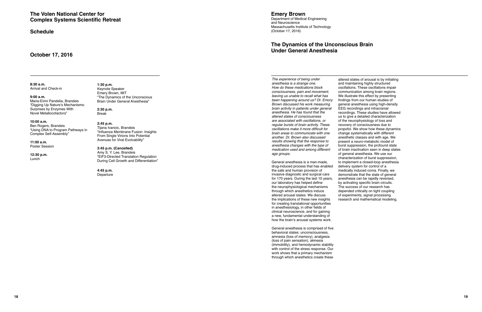**8:30 a.m. 1:30 p.m.**  Arrival and Check-in Keynote Speaker

## **The Volen National Center for Complex Systems Scientific Retreat**

**Schedule** 

Emery Brown, MIT **9:00 a.m.** "The Dynamics of the Unconscious Brain Under General Anesthesia"

## **October 17, 2016**

"Digging Up Nature's Mechanisms: Surprises by Enzymes With **2:30 p.m.**  Novel Metallocofactors" Break

**10:00 a.m.**<br>Ben Rogers, Brandeis <sup>2:45</sup> p.m.<br>"Using DNA to Program Pathways in "Influenza Membrane Fusion: Insights" From Single Virions Into Potential"<br>From Single Virions Into Potential **11:00 a.m.** Avenues for Viral Evolvability"

Poster Session **3:45 p.m. (Cancelled) 12:30 p.m. Amy S. Y. Lee, Brandeis**<br>
"EIF3-Directed Translation Regulation EIF3-Directed Manufacturer regulation Lunch<br>During Cell Growth and Differentiation"

> **4:45 p.m.**  Departure

**Emery Brown** 

Department of Medical Engineering and Neuroscience Massachusetts Institute of Technology (October 17, 2016)

## **The Dynamics of the Unconscious Brain Under General Anesthesia**

The experience of being under anesthesia is a strange one. How do these medications block consciousness, pain and movement, leaving us unable to recall what has been happening around us? Dr. Emory Brown discussed his work measuring brain activity in patients under general anesthesia. He has found that the altered states of consciousness are associated with oscillations, or regular bursts of brain activity. These oscillations make it more difficult for brain areas to communicate with one another. Dr. Brown also discussed results showing that the response to anesthesia changes with the type of medication used and among different age groups.

General anesthesia is a man-made, drug-induced process that has enabled the safe and human provision of invasive diagnostic and surgical care for 170 years. During the last 10 years, our laboratory has helped define the neurophysiological mechanisms through which anesthetics induce altered arousal states. We discuss the implications of these new insights for creating translational opportunities in anesthesiology, in other fields of clinical neuroscience, and for gaining a new, fundamental understanding of how the brain's arousal systems work.

General anesthesia is comprised of five behavioral states: unconsciousness, amnesia (loss of memory), analgesia (loss of pain sensation), akinesia (immobility), and hemodynamic stability with control of the stress response. Our work shows that a primary mechanism through which anesthetics create these

altered states of arousal is by initiating and maintaining highly structured oscillations. These oscillations impair communication among brain regions. We illustrate this effect by presenting findings from our human studies of general anesthesia using high-density EEG recordings and intracranial recordings. These studies have allowed us to give a detailed characterization of the neurophysiology of loss and recovery of consciousness due to propofol. We show how these dynamics change systematically with different anesthetic classes and with age. We present a neuro-metabolic model of burst suppression, the profound state of brain inactivation seen in deep states of general anesthesia. We use our characterization of burst suppression, to implement a closed-loop anesthesia delivery system for control of a medically induced coma. Finally, we demonstrate that the state of general anesthesia can be rapidly reversed, by activating specific brain circuits. The success of our research has depended critically on tight coupling of experiments, signal processing research and mathematical modeling.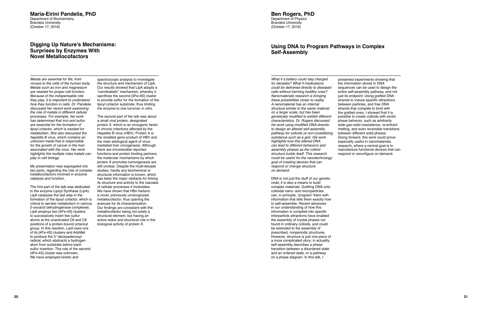## **Maria-Eirini Pandelia, PhD**

Department of Biochemistry Brandeis University (October 17, 2016)

## **Digging Up Nature's Mechanisms: Surprises by Enzymes With Novel Metallocofactors**

Metals are essential for life, from viruses to the cells of the human body. Metals such as iron and magnesium are needed for proper cell function. Because of the indispensable role they play, it is important to understand how they function in cells. Dr. Pandelia discussed her recent work examining the role of metals in different cellular processes. For example, her work has determined that iron and sulfur are essential for the formation of lipoyl cofactor, which is needed for metabolism. She also discussed the hepatitis B virus, which contains an unknown metal that is responsible for the growth of cancer in the liver associated with the virus. Her work highlights the multiple roles metals can play in cell biology.

My presentation was segregated into two parts, regarding the role of complex metallocofactors involved in enzyme catalysis and function.

The first part of the talk was dedicated to the enzyme Lipoyl Synthase (LipA). LipA catalyzes the last step in the formation of the lipoyl cofactor, which is critical to aerobic metabolism in various 2-oxoacid dehydrogenase complexes. LipA employs two [4Fe-4S] clusters to successively insert two sulfur atoms at the unactivated C6 and C8 positions of a protein-bound octanoyl group. In this reaction, LipA uses one of its [4Fe-4S] clusters and AdoMet to produce the 5′-deoxyadenosyl radical, which abstracts a hydrogen atom from substrate before each sulfur insertion. The role of the second [4Fe-4S] cluster was unknown. We have employed kinetic and

spectroscopic analysis to investigate the structure and mechanism of LipA. Our results showed that LipA adopts a "cannibalistic" mechanism, whereby it sacrifices the second [4Fe-4S] cluster to provide sulfur for the formation of the lipoyl cofactor substrate, thus limiting the enzyme to one turnover in vitro.

The second part of the talk was about a small viral protein, designated protein X, which is an oncogenic factor in chronic infections affected by the Hepatitis B virus (HBV). Protein X is the smallest gene product of HBV and the main etiological agent of virusmediated liver oncogenesis. Although there are innumerable reported functions and protein binding partners, the molecular mechanisms by which protein X promotes tumorigenesis are still unclear. Despite the multi-decade studies, hardly any biochemical or structural information is known, which has been the major obstacle for linking its structure and activity to the cascade of cellular processes it modulates. We have shown that HBx harbors a novel, previously unrecognized metallocofactor, thus opening the avenues for its characterization. Our findings are consistent with the metallocofactor being not solely a structural element, but having an active redox and structural role in the biological activity of protein X.

**Ben Rogers, PhD**  Department of Physics Brandeis University (October 17, 2016)

## **Using DNA to Program Pathways in Complex Self-Assembly**

What if a battery could stay charged for decades? What if medications could be delivered directly to diseased cells without harming healthy ones? Nanomaterials research is bringing these possibilities closer to reality. A nanomaterial has an internal structure similar to the same material on a larger scale, but has been genetically modified to exhibit different characteristics. Dr. Rogers discussed his work using modified DNA strands to design an altered self-assembly pathway for colloids (a non-crystallizing substance such as a gel). His work highlights how this altered DNA can lead to different behaviors and assembly phases as the colloid structure builds itself. This research could be useful for the nanotechnology goal of creating devices that can respond or change structure on demand.

DNA is not just the stuff of our genetic code; it is also a means to build complex materials. Grafting DNA onto colloidal nano- and microparticles can, in principle, 'program' them with information that tells them exactly how to self-assemble. Recent advances in our understanding of how this information is compiled into specific interparticle attractions have enabled the assembly of crystal phases not found in ordinary colloids, and could be extended to the assembly of prescribed, nonperiodic structures. However, structure is just one piece of a more complicated story; in actuality, self-assembly describes a phase transition between a disordered state and an ordered state, or a pathway on a phase diagram. In this talk, I

presented experiments showing that the information stored in DNA sequences can be used to design the entire self-assembly pathway, and not just its endpoint. Using grafted DNA strands to induce specific attractions between particles, and free DNA strands that compete to bind with the grafted ones, I showed that it is possible to create colloids with exotic phase behavior, such as arbitrarily wide gas-solid coexistence, re-entrant melting, and even reversible transitions between different solid phases. Going forward, this work could prove especially useful in nanomaterials research, where a central goal is to manufacture functional devices that can respond or reconfigure on demand.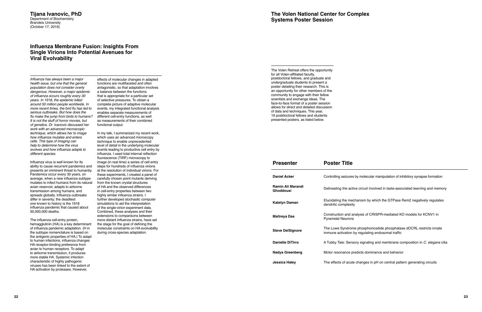#### **Tijana Ivanovic, PhD**  Department of Biochemistry Brandeis University (October 17, 2016)

## **Infuenza Membrane Fusion: Insights From Single Virions Into Potential Avenues for Viral Evolvability**

Influenza has always been a major health issue, but one that the general population does not consider overly dangerous. However, a major epidemi of influenza occurs roughly every 30 years. In 1918, the epidemic killed around 50 million people worldwide. In more recent times, the bird flu has led serious outbreaks. But how does the flu make the jump from birds to humans? It is not the stuff of horror movies, but of genetics. Dr. Ivanovic discussed her work with an advanced microscopic technique, which allows her to image how influenza mutates and enters cells. This type of imaging can help to determine how the virus evolves and how influenza adapts to different species.

Influenza virus is well known for its ability to cause recurrent pandemics an presents an imminent threat to humanity. Pandemics occur every 30 years, on average, when a new influenza subtyp mutates to infect humans from its natu avian reservoir, adapts to airborne transmission among humans, and spreads globally. Influenza outbreaks differ in severity; the deadliest one known to history is the 1918 influenza pandemic that caused about 50,000,000 deaths.

The influenza cell-entry protein, hemagglutinin (HA) is a key determinant of influenza pandemic adaptation. (H in the subtype nomenclature is based on the antigenic properties of HA.) To ada pt to human infections, influenza changes HA receptor-binding preference from avian to human receptors. To adapt to airborne transmission, it produces more stable HA. Systemic infection characteristic of highly pathogenic viruses has been linked to the extent of HA activation by proteases. However,

effects of molecular changes in adapted functions are multifaceted and often antagonistic, so that adaptation involves a balance between the functions that is appropriate for a particular set of selective pressures. To obtain a complete picture of adaptive molecular events, my integrated functional analysis enables separate measurements of different cell-entry functions, as well as measurements of their combined functional output.

In my talk, I summarized my recent work, which uses an advanced microscopy technique to enable unprecedented level of detail in the underlying molecular events leading to productive cell entry by influenza. I used total internal reflection fluorescence (TIRF) microscopy to image (in real time) a series of cell entry steps for hundreds of influenza virions at the resolution of individual virions. For these experiments, I created a panel of e carefully chosen point mutants deriving from the known crystal structures of HA and the observed differences in cell-entry properties between two highly similar influenza strains. I further developed stochastic computer simulations to aid the interpretation of the single-virion experiment data. Combined, these analyses and their extensions to comparisons between more distant influenza strains, have set the stage for the goal of defining the molecular constraints on HA evolvability during cross-species adaptation.

The Volen Retreat offers the opportunity for all Volen-affiliated faculty, postdoctoral fellows, and graduate and undergraduate students to present a poster detailing their research. This is an opportunity for other members of the community to engage with their fellow scientists and exchange ideas. The face-to-face format of a poster session allows for direct and detailed discussion of data and techniques. This year, 19 postdoctoral fellows and students presented posters, as listed below.

| <b>Presenter</b>                             | <b>Poster Title</b>                              |
|----------------------------------------------|--------------------------------------------------|
| <b>Daniel Acker</b>                          | Controlling seizures b                           |
| <b>Ramin Ali Marandi</b><br><b>Ghoddousi</b> | Delineating the active                           |
| <b>Katelyn Daman</b>                         | Elucidating the mech<br>dendritic complexity     |
| <b>Maitreya Das</b>                          | Construction and ana<br><b>Pyramidal Neurons</b> |
| <b>Steve DelSignore</b>                      | The Lowe Syndrome<br>immune activation by        |
| <b>Danielle DiTirro</b>                      | A Tubby Tale: Sensor                             |
| Nadya Greenberg                              | Motor resonance pre                              |
| Jessica Haley                                | The effects of acute                             |

by molecular manipulation of inhibitory synapse formation

**e** circuit involved in taste-associated learning and memory

anism by which the GTPase Rem2 negatively regulates

**Maitreya Das** Construction and analysis of CRISPR-mediated KO models for KCNV1 in

phosphoinositide phosphatase dOCRL restricts innate regulating endosomal traffic

ry signaling and membrane composition in C. elegans cilia

dicts dominance and behavior

changes in pH on central pattern generating circuits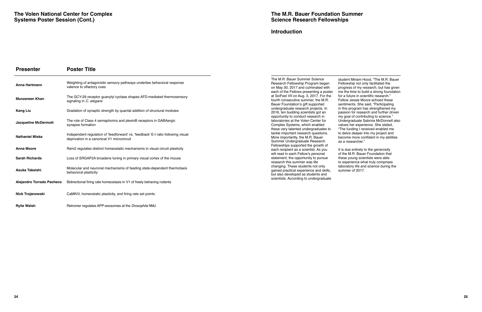| <b>Presenter</b>            | <b>Poster Title</b>                                                                                                             |                          |
|-----------------------------|---------------------------------------------------------------------------------------------------------------------------------|--------------------------|
| Anna Hartmann               | Weighting of antagonistic sensory pathways underlies behavioral response<br>valence to olfactory cues                           | ΤI<br>$\mathsf{R}$<br>Oľ |
| <b>Munzareen Khan</b>       | The GCY-29 receptor guanylyl cyclase shapes AFD-mediated thermosensory<br>signaling in C. elegans                               | e<br>at<br>fo<br>B.      |
| <b>Kang Liu</b>             | Gradation of synaptic strength by quantal addition of structural modules                                                        | u<br>$\overline{c}$      |
| <b>Jacqueline McDermott</b> | The role of Class 4 semaphorins and plexinB receptors in GABAergic<br>synapse formation                                         | 이<br>la<br>C<br>th       |
| <b>Nathaniel Miska</b>      | Independent regulation of 'feedforward' vs. 'feedback' E-I ratio following visual<br>deprivation in a canonical V1 microcircuit | ta<br>M<br>S             |
| <b>Anna Moore</b>           | Rem2 regulates distinct homeostatic mechanisms in visual circuit plasticity                                                     | F)<br>e                  |
| <b>Sarah Richards</b>       | Loss of SRGAP2A broadens tuning in primary visual cortex of the mouse                                                           | W<br>st<br>re            |
| Asuka Takeishi              | Molecular and neuronal mechanisms of feeding state-dependent thermotaxis<br>behavioral plasticity                               | cł<br>g<br>bι            |
| Alejandro Torrado Pacheco   | Bidirectional firing rate homeostasis in V1 of freely behaving rodents                                                          | S <sub>C</sub>           |
| Nick Trojanowski            | CaMKIV, homeostatic plasticity, and firing rate set points                                                                      |                          |
|                             |                                                                                                                                 |                          |

**Rylie Walsh <b>Retromer regulates APP-exosomes at the Drosophila NMJ** Retromer regulates APP-exosomes at the Drosophila NMJ

The M.R. Bauer Summer Science student Miriam Hood, "The M.R. Bauer<br>Research Fellowship Program began Fellowship not only facilitated the Research Fellowship Program began<br>In May 30, 2017 and culminated with on May 30, 2017 and culminated with progress of my research, but has given<br>hach of the Fellows presenting a poster me the time to build a strong foundation SciFest VII on Aug. 3, 2017. For the for a future in scientific research."<br>urth consecutive summer, the M.R. Fellow Jessie Moore echoed these ourth consecutive summer, the M.R. Fellow Jessie Moore echoed these<br>Bauer Foundation's gift supported sentiments. She said, "Participating Bauer Foundation's gift supported<br>indergraduate research projects. In mdergraduate research projects. In in this program has strengthened my<br>1016, ten budding scientists got an in passion for research and further drive pportunity to conduct research in<br>aboratories at the Volen Center for aboratories at the Volen Center for Condergraduate Sabrina McDonnell also<br>complex Systems, which enabled Condues her experience. She stated, hese very talented undergraduates to<br>ackle important research questions. ackle important research questions. to delve deeper into my project and<br>Aore importantly, the M.R. Bauer the become more confident in my abilitionally Summer Undergraduate Research Fellowships supported the growth of each recipient as a scientist. As you It is due entirely to the generosity<br>
vill read in each Fellow's personal The M.R. Bauer Foundation that tatement, the opportunity to pursue<br>esearch this summer was life esearch this summer was life to experience what truly comprises<br>hanging. These students not only be aboratory life and science during th ained practical experience and skills, but also developed as students and cientists. According to undergraduate

me the time to build a strong foundation<br>for a future in scientific research." passion for research and further driven<br>my goal of contributing to science." values her experience. She stated,<br>"The funding I received enabled me become more confident in my abilities<br>as a researcher."

of the M.R. Bauer Foundation that<br>these young scientists were able laboratory life and science during the summer of 2017.

### **Introduction**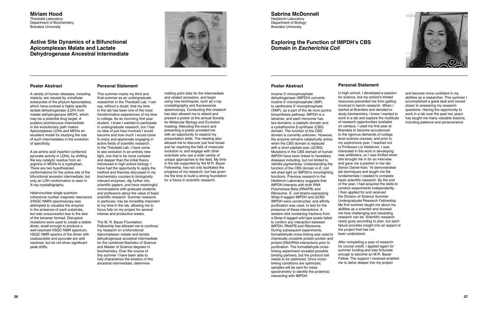#### **Miriam Hood**  Theobald Laboratory Department of Biochemistry Brandeis University

## **Active Site Dynamics of a Bifunctional Apicomplexan Malate and Lactate Dehydrogenase Ancestral Intermediate**



**Sabrina McDonnell**  Hedstrom Laboratory Department of Biology Brandeis University

## **Exploring the Function of IMPDH's CBS Domain in** *Escherichia Coli*

#### **Poster Abstract**

A variety of human diseases, including malaria, are caused by unicellular eukaryotes of the phylum Apicomplexa, which have evolved a highly specific lactate dehydrogenase (LDH) from malate dehydrogenase (MDH), which may be a potential drug target. A putative promiscuous intermediate in the evolutionary path makes Apicomplexan LDHs and MDHs an excellent model for studying the role of such intermediates in the evolution of specificity.

A six-amino acid insertion conferred pyruvate activity in LDHs, by shifting the key catalytic residue from an arginine in MDHs to a tryptophan. There are two hypothesized conformations for the active site of the bifunctional ancestor intermediate, but only an LDH conformation is seen in X-ray crystallography.

Heteronuclear single quantum coherence nuclear magnetic resonance (HSQC NMR) spectroscopy was attempted to visualize the enzyme in the presence of each substrate, but was unsuccessful due to the size of the tetramer formed. Disruptive mutations were used to create a stable dimer, small enough to produce a well-resolved HSQC NMR spectrum. HSQC NMR spectra of the dimer with oxaloacetate and pyruvate are well resolved, but do not show significant peak shifts.

## **Personal Statement**

This summer marks my third and final summer as an undergraduate researcher in the Theobald Lab. I can say, without a doubt, that my time in the lab has been one of the most transformative experiences of my time in college. As an incoming first-year student, I knew I wanted to participate in undergraduate research, but I had no idea of just how involved I would become and how much I would come to enjoy and appreciate engaging in active fields of scientific research. In the Theobald Lab, I have come to see evolution in an entirely new light, one that is far more complex and deeper than the initial theory introduced in high school biology. I have had the opportunity to apply the method and theories discussed in my biochemistry courses to biologically relevant enzymes, dig further into scientific papers, and have meaningful conversations with graduate students and professors about the value of basic scientific research. Summer research, in particular, has be incredibly important to my time in the lab, allowing me to focus fully on my project for several intense and productive weeks.

The M. R. Bauer Foundation Fellowship has allowed me to continue my research on a bifunctional Apicomplexan malate and lactate dehydrogenase ancestral intermediate for the combined Bachelor of Science and Master of Science degrees in biochemistry. Over the course of this summer I have been able to fully characterize the kinetics of this ancestral intermediate, determine

melting point data for the intermediate and related ancestors, and begin using new techniques, such as x-ray crystallography and fluorescence spectroscopy. Conducting this research has also allowed me to attend and present a poster at the annual Society for Molecular Biology and Evolution meeting. Attending the event and presenting a poster provided me with an opportunity to expand my presentation skills. The meeting also allowed me to discover just how broad and far reaching the field of molecular evolution is, and engage with other scientists who use a wide variety of unique approaches to the field. My time in the lab supported by the M.R. Bauer Fellowship, has not only facilitated the progress of my research, but has given me the time to build a strong foundation for a future in scientific research.

### **Poster Abstract**

Inosine 5'-monophosphate dehydrogenase (IMPDH) converts inosine 5'-monophosphate (IMP) to xanthosine 5'-monophosphate (XMP), as a part of the de novo purine biosynthesis pathway. IMPDH is a tetramer, and each monomer has two domains: a catalytic domain and a cystathionine β-synthase (CBS) domain. The function of the CBS domain is currently unknown. However, the enzyme remains catalytically active when the CBS domain is replaced with a short peptide scar (ΔCBS). Mutations in the CBS domain of human IMPDH have been linked to hereditary diseases including, but not limited to retinitis pigmentosa. Understanding the function of the CBS domain in E. coli will shed light on IMPDH's moonlighting functions. Previous research in the Hedstrom Laboratory suggests that IMPDH interacts with both RNA Polymerase Beta (RNAPB) and Ribosome. E. coli strains expressing Strep-II tagged IMPDH and ΔCBS IMPDH were constructed, and affinity purification was used, to test for the presence of these interactions. A western blot containing fractions from a Strep-II tagged wild type lysate failed to confirm any interaction between IMPDH, RNAPB and Ribosome. During subsequent experiments. formaldehyde cross-linking was used to chemically crosslink protein-protein and protein-DNA/RNA interactions prior to purification. The formaldehyde crosslinking experiment revealed possible binding partners, but the protocol still needs to be optimized. Once crosslinking conditions are optimized, samples will be sent for mass spectrometry to identify the protein(s) interacting with IMPDH.

## **Personal Statement**

In high school, I developed a passion for science, but my school's limited resources prevented me from getting involved in bench research. When I started at Brandeis and decided to study biochemistry, I knew I wanted to work in a lab and explore the multitude of research opportunities available on campus. I used my first year at Brandeis to become accustomed to the rigorous demands of college level science courses, and prior to my sophomore year, I reached out to Professor Liz Hedstrom. I was interested in the work in developing new antibiotics, so I was thrilled when she brought me in for an interview and gave me a position in her lab. Senior Daniel Kats '16 demonstrated lab techniques and taught me the fundamentals I needed to complete basic scientific research. By the end of the year, I had acquired the skills to conduct experiments independently. I then applied for and received the Division of Science Summer Undergraduate Research Fellowship. My first summer taught me about my abilities as a scientist and showed me how challenging and rewarding research can be. Scientific research rarely goes according to plan, but each failure provides insight into an aspect of the project that has not

been understood.



After completing a year of research for course credit, I applied again for summer funding and was fortunate enough to become an M.R. Bauer Fellow. The support I received enabled me to delve deeper into my project

and become more confident in my abilities as a researcher. This summer I accomplished a great deal and moved closer to answering my research questions. Having the opportunity to work in a lab over the past two years has taught me many valuable lessons, including patience and perseverance.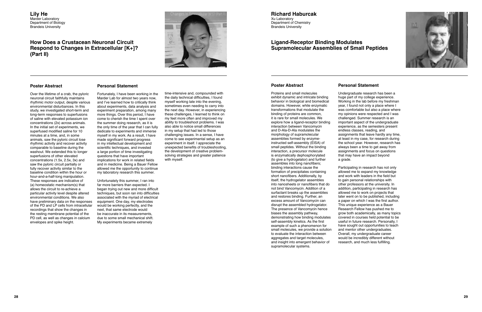**Lily He**  Marder Laboratory Department of Biology Brandeis University

## **How Does a Crustacean Neuronal Circuit Respond to Changes in Extracellular [K+]? (Part II)**



**Richard Haburcak**  Xu Laboratory Department of Chemistry

Brandeis University

## **Ligand-Receptor Binding Modulates Supramolecular Assemblies of Small Peptides**

#### **Poster Abstract**

Over the lifetime of a crab, the pyloric neuronal circuit faithfully maintains rhythmic motor output, despite various environmental disturbances. In this study, we investigated short-term and long-term responses to superfusions of saline with elevated potassium ion concentrations (2x) across animals. In the initial set of experiments, we superfused modified saline for 10 minutes at a time, and, in some animals, saw the pyloric circuit lose rhythmic activity and recover activity comparable to baseline during the washout. We extended this to longer superfusions of other elevated concentrations (1.5x, 2.5x, 3x) and saw the pyloric circuit partially or fully recover activity similar to the baseline condition within the hour or hour-and-a-half-long manipulation. These responses are indicative of (a) homeostatic mechanism(s) that allows the circuit to re-achieve a particular activity level despite altered environmental conditions. We also have preliminary data on the responses of the PD and LP cells from intracellular recordings that show the changes in the resting membrane potential of the PD cell, as well as changes in calcium envelopes and spike height.

## **Personal Statement**

Fortunately, I have been working in the Marder Lab for almost two years now, and I've learned how to critically think about experiments, data analysis and experiment preparation, among many more things. Over this period, I have come to cherish the time I spent over the summer doing research, as it is the only time of the year that I can fully dedicate to experiments and immerse myself in my work. As a result, I have made significant forward progress in my intellectual development and scientific techniques, and invested a large portion of time investigating questions that have important implications for work in related fields and in medicine. Being a Bauer Fellow allowed me the opportunity to continue my laboratory research this summer.

Unfortunately this summer, I ran into far more barriers than expected. I began trying out new and more difficult techniques, but soon ran into difficulties associated with the myriad of electrical equipment. One day, my electrodes would be working perfectly, and the next, that same electrode would be inaccurate in its measurements, due to some small mechanical shift. My experiments became extremely

time-intensive and, compounded with the daily technical difficulties, I found myself working late into the evening, sometimes even needing to carry into the next day. However, in experiencing these challenges, I learned to think on my feet more often and improved my ability to troubleshoot problems. I was also able to notice small differences in my setup that had led to those challenging issues. In a sense, I have come to see experimental setup as an experiment in itself. I appreciate the unexpected benefits of troubleshooting, the development of creative problemsolving strategies and greater patience with myself.

### **Poster Abstract**

Proteins and small molecules exhibit dynamic and intricate binding behavior in biological and biomedical domains. However, while enzymatic transformations that modulate the binding of proteins are common, it is rare for small molecules. We explore how a ligand-receptor binding interaction between Vancomycin and D-Ala-D-Ala modulates the morphology of supramolecular assemblies formed by enzymeinstructed self-assembly (EISA) of small peptides. Without the binding interaction, a precursor molecule is enzymatically dephosphorylated (to give a hydrogelator) and further assembles into long nanofibers; binding interactions cause the formation of precipitates containing short nanofibers. Additionally, by itself, the hydrogelator assembles into nanosheets or nanofibers that do not bind Vancomycin. Addition of a surfactant breaks up the assemblies and restores binding. Further, an excess amount of Vancomycin can disrupt the assembled hydrogelator. The presence of Vancomycin hence biases the assembly pathway, demonstrating how binding modulates self-assembly kinetics. As the first example of such a phenomenon for small molecules, we provide a solution to evaluate the interaction between aggregates and target molecules, and insight into emergent behavior of supramolecular systems.

## **Personal Statement**

Undergraduate research has been a huge part of my college experience. Working in the lab before my freshman year, I found not only a place where I was comfortable but also a place where my opinions were respected and I was challenged. Summer research is an important aspect of the undergraduate experience, as the semesters present endless classes, reading, and assignments that leave hardly any time, at least in my case, for research during the school year. However, research has always been a time to get away from assignments and focus on questions that may have an impact beyond

a grade.



Participating in research has not only allowed me to expand my knowledge and work with leaders in the field but to gain personal relationships with other professors at the university. In addition, participating in research has allowed me to work on projects that later went on to be published, including a paper on which I was the first author. This unique experience as a Bauer Research Fellow has pushed me to grow both academically, as many topics covered in courses held potential to be useful in future research. Personally, I have sought out opportunities to teach and mentor other undergraduates. Overall, my undergraduate career would be incredibly different without research, and much less fulfilling.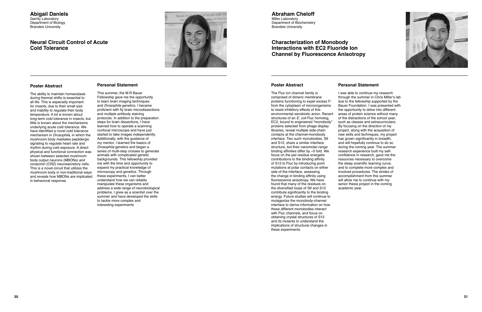#### **Abigail Daniels**  Garrity Laboratory Department of Biology Brandeis University

## **Neural Circuit Control of Acute Cold Tolerance**



#### **Abraham Cheloff**  Miller Laboratory Department of Biochemistry Brandeis University

## **Characterization of Monobody Interactions with EC2 Fluoride Ion Channel by Fluorescence Anisotropy**

### **Poster Abstract**

The ability to maintain homeostasis during thermal shifts is essential to all life. This is especially important for insects, due to their small size and inability to regulate their body temperature. A lot is known about long-term cold tolerance in insects, but little is known about the mechanisms underlying acute cold tolerance. We have identified a novel cold tolerance mechanism in *Drosophila*, in which the mushroom body mediates peptidergic signaling to regulate heart rate and rhythm during cold exposure. A direct physical and functional connection was shown between selected mushroom body output neurons (MBONs) and corazonin (CRZ) neurosecretory cells. This is a novel circuit that utilizes the mushroom body in non-traditional ways and reveals how MBONs are implicated in behavioral response.

## **Personal Statement**

This summer, the M.R Bauer Fellowship gave me the opportunity to learn brain imaging techniques and Drosophila genetics. I became proficient with fly brain microdissections and multiple antibody staining protocols. In addition to the preparation steps for brain dissections, I have learned how to operate a scanning confocal microscope and have just started to take images independently. Additionally, with the guidance of my mentor, I learned the basics of Drosophila genetics and began a series of multi-step crosses to generate animals with complicated genetic backgrounds. This fellowship provided me with the time and opportunity to expand my practical knowledge of microscopy and genetics. Through these experiments, I can better understand how we can reliably manipulate these organisms and address a wide range of neurobiological problems. I grew as a scientist over the summer and have developed the skills to tackle more complex and interesting experiments

### **Poster Abstract**

The Fluc ion channel family is comprised of dimeric membrane proteins functioning to expel excess Ffrom the cytoplasm of microorganisms to resist inhibitory effects of this environmental xenobiotic anion. Recent structures of an E. coli Fluc homolog, EC2, bound to engineered "monobody" proteins selected from phage display libraries, reveal multiple side-chain contacts at the channel-monobody interface. Two such monobodies, S9 and S12, share a similar interface structure, but their nanomolar-range binding affinities differ by  $\sim$ 5 fold. We focus on the per-residue energetic contributions to the binding affinity of S12 to Fluc by introducing point mutations at polar contacts on either side of the interface, assessing the change in binding affinity using fluorescence anisotropy. We have found that many of the residues on the diversified loops of S9 and S12 contribute significantly to the binding energy. Future studies will continue to mutagenize the monobody-channel interface to derive information on how these different monobodies interact with Fluc channels, and focus on obtaining crystal structures of S12 and its mutants to understand the implications of structural changes in these experiments.

## **Personal Statement**

I was able to continue my research through the summer in Chris Miller's lab due to the fellowship supported by the Bauer Foundation. I was presented with the opportunity to delve into different areas of protein science without many of the distractions of the school year, such as classes and extracurriculars. By focusing on the direction of my project, along with the acquisition of new skills and techniques, my project has grown significantly in breadth, and will hopefully continue to do so during the coming year. The summer research experience built my selfconfidence in research, gave me the resources necessary to overcome the steep scientific learning curve, and to complete more complex and involved procedures. The strides of accomplishment from this summer will allow me to continue with my senior thesis project in the coming

academic year.

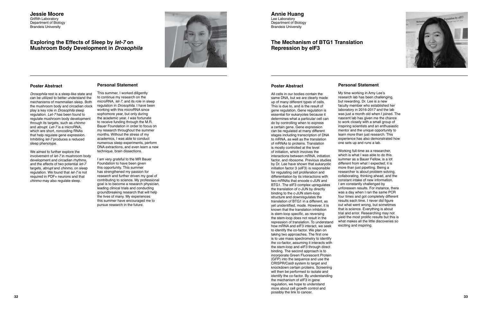#### **Jessie Moore**  Griffith Laboratory Department of Biology Brandeis University

## **Exploring the Effects of Sleep by** *let-7* **on Mushroom Body Development in** *Drosophila*



#### **Poster Abstract**

Drosophila rest is a sleep-like state and can be utilized to better understand the mechanisms of mammalian sleep. Both the mushroom body and circadian clock play a key role in Drosophila sleep regulation. Let-7 has been found to regulate mushroom body development through its targets, such as *chinmo* and abrupt. Let-7 is a microRNA, which are short, noncoding RNAs that help regulate gene expression. Inhibiting let-7 produces a reduced sleep phenotype.

We aimed to further explore the involvement of let-7 in mushroom body development and circadian rhythms, and the effects of two potential let-7 targets, *abrupt* and *chinmo*, on sleep regulation. We found that let-7 is not required in PDF+ neurons and that chinmo may also regulate sleep.

## **Personal Statement**

This summer, I worked diligently to continue my research on the microRNA, let-7, and its role in sleep regulation in Drosophila. I have been working with this microRNA since sophomore year, but only during the academic year. I was fortunate to receive funding through the M.R. Bauer Foundation in order to focus on my research throughout the summer months. Without the stress of my academics, I was able to conduct numerous sleep experiments, perform DNA extractions, and even learn a new technique, brain dissections.

I am very grateful to the MR Bauer Foundation to have been given this opportunity. This summer has strengthened my passion for research and further driven my goal of contributing to science. My professional goal is to become a research physician, leading clinical trials and conducting groundbreaking research that will help the lives of many. My experiences this summer have encouraged me to pursue research in the future.

**Annie Huang**  Lee Laboratory Department of Biology Brandeis University

## **The Mechanism of BTG1 Translation Repression by eIF3**

#### **Poster Abstract**

All cells in our bodies contain the same DNA, but we are clearly made up of many different types of cells. This is due to, and is the result of gene regulation. Gene regulation is essential for eukaryotes because it determines what a particular cell can do by controlling when to express a certain gene. Gene expression can be regulated at many different stages including transcription of DNA to mRNA, as well as the translation of mRNAs to proteins. Translation is mostly controlled at the level of initiation, which involves the interactions between mRNA, initiation factor, and ribosome. Previous studies by Dr. Lee have shown that eukaryotic initiation factor 3 (eIF3) is responsible for regulating cell proliferation and differentiation by its interactions with two mRNAs that encode c-JUN and BTG1. The eIF3 complex upregulates the translation of c-JUN by directly binding to the c-JUN stem-loop structure and downregulates the translation of BTG1 in a different, as yet unidentified, mode. However, it is known that the translation inhibition is stem-loop specific, as reversing the stem-loop does not result in the repression of translation. To understand how mRNA and eIF3 interact, we seek to identify the co-factor. We plan on taking two approaches. The first one is to use mass spectrometry to identify the co-factor, assuming it interacts with the stem-loop and eIF3 through direct binding. The second approach is to incorporate Green Fluorescent Protein (GFP) into the sequence and use the CRISPR/Cas9 system to target and knockdown certain proteins. Screening will then be performed to isolate and identify the co-factor. By understanding the mechanism of eIF3 in gene regulation, we hope to understand more about cell growth control and possibly the link to cancer.



## **Personal Statement**

My time working in Amy Lee's research lab has been challenging, but rewarding. Dr. Lee is a new faculty member who established her laboratory in 2016-2017 and the lab was just a month old when I joined. The nascent lab has given me the chance to work closely with a small group of inspiring scientists and an enthusiastic mentor and the unique opportunity to learn more than just research. This experience has also demonstrated how one sets up and runs a lab.

Working full-time as a researcher, which is what I was able to do this summer as a Bauer Fellow, is a lot different from what I expected; it is more than just pipetting. Being a researcher is about problem solving, collaborating, thinking ahead, and the constant intake of new information. I am constantly challenged by unforeseen results. For instance, there was a day when I ran the same PCR four times and got completely different results each time. I never did figure out what went wrong, but sometimes that is science. Everything is about trial and error. Researching may not yield the most prolific results but this is what makes all the little discoveries so exciting and inspiring.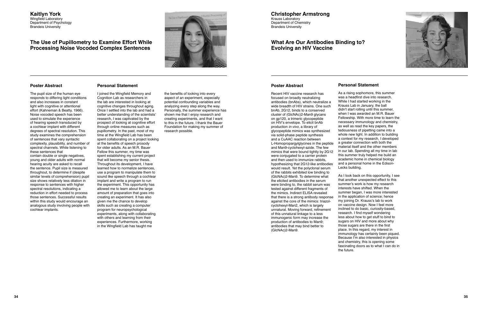#### **Kaitlyn York**  Wingfield Laboratory Department of Psychology Brandeis University

## **The Use of Pupillometry to Examine Effort While Processing Noise Vocoded Complex Sentences**



**Christopher Armstrong**  Krauss Laboratory Department of Chemistry

Brandeis University

## **What Are Our Antibodies Binding to? Evolving an HIV Vaccine**

### **Poster Abstract**

The pupil size of the human eye responds to differing light conditions and also increases in constant light with cognitive or attentional effort (Kahneman & Beatty, 1966). Noise vocoded speech has been used to simulate the experience of hearing speech transduced by a cochlear implant with different degrees of spectral resolution. This study examines the comprehension of sentences that vary syntactic complexity, plausibility, and number of spectral channels. While listening to these sentences that contain double or single negatives, young and older adults with normal hearing acuity are asked to recall the sentence. Pupil size is measured throughout, to determine if (despite similar levels of comprehension) pupil size shows relatively less dilation in response to sentences with higher spectral resolutions, indicating a reduction in effort needed to process those sentences. Successful results within this study would encourage an analogous study involving people with cochlear implants.

## **Personal Statement**

I joined the Wingfield Memory and Cognition Lab as researchers in the lab are interested in looking at cognitive changes throughout aging. Once I settled into the lab and had a better understanding of the scientists' research, I was captivated by the prospect of looking at cognitive effort through online measures such as pupillometry. In the past, most of my time at the Wingfield Lab has been spent collaborating on a project looking at the benefits of speech prosody for older adults. As an M.R. Bauer Fellow this summer, my time was spent establishing my current project that will become my senior thesis. Throughout its development, I have learned how to normalize sentences, use a program to manipulate them to sound like speech through a cochlear implant and write a program to run the experiment. This opportunity has allowed me to learn about the large amount of preparation that goes into creating an experiment. It has also given me the chance to develop skills such as creating a computer program for neuropsychological experiments, along with collaborating with others and learning from their experiences. Furthermore, working in the Wingfield Lab has taught me

the benefits of looking into every aspect of an experiment, especially potential confounding variables and analyzing every step along the way. Personally, the summer experience has shown me that I enjoy research and creating experiments, and that I want to this in the future. I thank the Bauer Foundation for making my summer of research possible.

### **Poster Abstract**

Recent HIV vaccine research has focused on broadly neutralizing antibodies (bnAbs), which neutralize a wide breadth of HIV strains. One such bnAb, 2G12, binds to a conserved cluster of (GlcNAc)2-Man9 glycans on gp120, a trimeric glycopeptide on HIV's envelope. To elicit bnAb production in vivo, a library of glycopeptide mimics was synthesized via solid-phase peptide synthesis and a CuAAC reaction between L-Homopropargylglycines in the peptide and Man9-cyclohexyl-azide. The few mimics that were bound tightly by 2G12 were conjugated to a carrier protein and then used to immunize rabbits, hypothesizing that 2G12-like antibodies would result. Yet the polyclonal serum of the rabbits exhibited low binding to (GlcNAc)2-Man9. To determine what the elicited antibodies in the serum were binding to, the rabbit serum was tested against different fragments of the mimics. Indirect ELISA revealed that there is a strong antibody response against the core of the mimics: triazolcyclohexyl-Man2, which is largely unnatural. Moving forward, refinement of this unnatural linkage to a less immunogenic form may increase the production of antibodies to Man9; antibodies that may bind better to (GlcNAc)2-Man9.

**Personal Statement**  As a rising sophomore, this summer was a headfirst dive into research. While I had started working in the Krauss Lab in January, the ball didn't start rolling until this summer, when I was awarded an M.R. Bauer Fellowship. With more time to learn the necessary immunology and chemistry, as well as read the key papers, the tediousness of pipetting came into a whole new light. In addition to building a context for my research, I developed a greater connection with both the material itself and the other members in our lab. Spending all my time in lab this summer truly helped me build an academic home in chemical biology and a personal home in the Edison-Lecks building.

As I look back on this opportunity, I see that another unexpected effect to this summer's work is how my research interests have shifted. When the summer began, I was more interested in the application of science; hence my joining Dr. Krauss's lab to work on vaccine design. Now I feel more inclined to do basic, curiosity-based, research. I find myself wondering less about how to get stuff to bind to sugars on HIV and more about why those sugars are there in the first place. In this regard, my interest in immunology has certainly been piqued. Because I'm also interested in physics and chemistry, this is opening some fascinating doors as to what I can do in

the future.